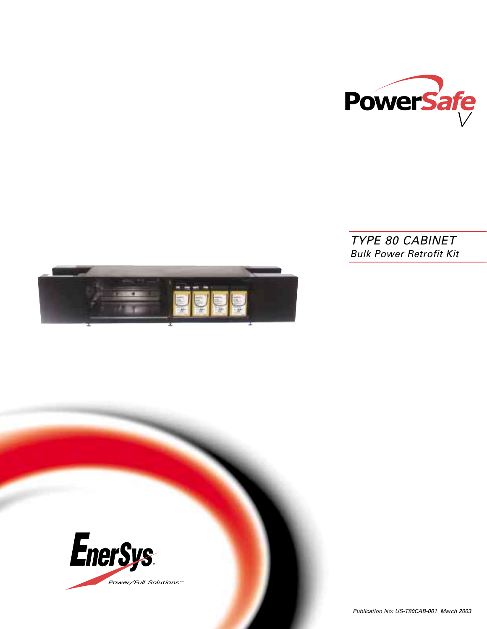

# *TYPE 80 CABINET Bulk Power Retrofit Kit*



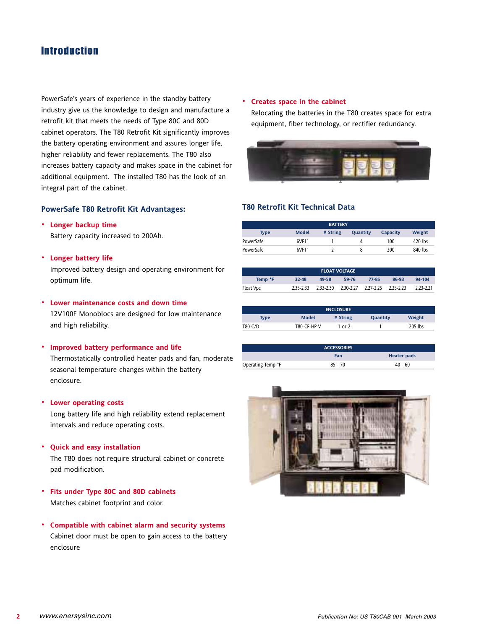## **Introduction**

PowerSafe's years of experience in the standby battery industry give us the knowledge to design and manufacture a retrofit kit that meets the needs of Type 80C and 80D cabinet operators. The T80 Retrofit Kit significantly improves the battery operating environment and assures longer life, higher reliability and fewer replacements. The T80 also increases battery capacity and makes space in the cabinet for additional equipment. The installed T80 has the look of an integral part of the cabinet.

## **PowerSafe T80 Retrofit Kit Advantages:**

#### **· Longer backup time**

Battery capacity increased to 200Ah.

**· Longer battery life**

Improved battery design and operating environment for optimum life.

#### **· Lower maintenance costs and down time**

12V100F Monoblocs are designed for low maintenance and high reliability.

#### **· Improved battery performance and life**

Thermostatically controlled heater pads and fan, moderate seasonal temperature changes within the battery enclosure.

## **· Lower operating costs**

Long battery life and high reliability extend replacement intervals and reduce operating costs.

**· Quick and easy installation**

The T80 does not require structural cabinet or concrete pad modification.

- **· Fits under Type 80C and 80D cabinets** Matches cabinet footprint and color.
- **· Compatible with cabinet alarm and security systems** Cabinet door must be open to gain access to the battery enclosure

#### **· Creates space in the cabinet**

Relocating the batteries in the T80 creates space for extra equipment, fiber technology, or rectifier redundancy.



## **T80 Retrofit Kit Technical Data**

| <b>BATTERY</b> |              |          |          |          |         |  |  |
|----------------|--------------|----------|----------|----------|---------|--|--|
| <b>Type</b>    | <b>Model</b> | # String | Quantity | Capacity | Weight  |  |  |
| PowerSafe      | 6VF11        |          |          | 100      | 420 lbs |  |  |
| PowerSafe      | 6VF11        |          |          | 200      | 840 lbs |  |  |

| <b>FLOAT VOLTAGE</b> |           |           |                               |       |       |           |  |
|----------------------|-----------|-----------|-------------------------------|-------|-------|-----------|--|
| Temp <sup>•</sup> F  | $32 - 48$ | 49-58     | 59-76                         | 77-85 | 86-93 | 94-104    |  |
| Float Vpc            | 2.35-2.33 | 2.33-2.30 | 2.30-2.27 2.27-2.25 2.25-2.23 |       |       | 2.23-2.21 |  |

|             |              | <b>ENCLOSURE</b> |          |         |
|-------------|--------------|------------------|----------|---------|
| <b>Type</b> | <b>Model</b> | # String         | Quantity | Weight  |
| T80 C/D     | T80-CF-HP-V  | 1 or 2           |          | 205 lbs |

|                   | <b>ACCESSORIES</b> |                    |
|-------------------|--------------------|--------------------|
|                   | Fan                | <b>Heater pads</b> |
| Operating Temp °F | $85 - 70$          | $40 - 60$          |

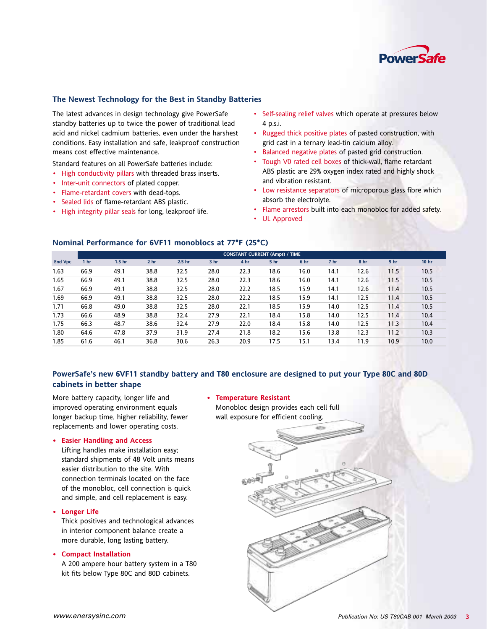

## **The Newest Technology for the Best in Standby Batteries**

The latest advances in design technology give PowerSafe standby batteries up to twice the power of traditional lead acid and nickel cadmium batteries, even under the harshest conditions. Easy installation and safe, leakproof construction means cost effective maintenance.

Standard features on all PowerSafe batteries include:

- High conductivity pillars with threaded brass inserts.
- Inter-unit connectors of plated copper.
- Flame-retardant covers with dead-tops.
- Sealed lids of flame-retardant ABS plastic.
- High integrity pillar seals for long, leakproof life.
- Self-sealing relief valves which operate at pressures below 4 p.s.i.
- Rugged thick positive plates of pasted construction, with grid cast in a ternary lead-tin calcium alloy.
- Balanced negative plates of pasted grid construction.
- Tough V0 rated cell boxes of thick-wall, flame retardant ABS plastic are 29% oxygen index rated and highly shock and vibration resistant.
- Low resistance separators of microporous glass fibre which absorb the electrolyte.
- Flame arrestors built into each monobloc for added safety.
- UL Approved

|                |                 | <b>CONSTANT CURRENT (Amps) / TIME</b> |                 |                   |                 |      |      |      |                 |                 |                 |                  |
|----------------|-----------------|---------------------------------------|-----------------|-------------------|-----------------|------|------|------|-----------------|-----------------|-----------------|------------------|
| <b>End Vpc</b> | 1 <sub>hr</sub> | 1.5 <sub>hr</sub>                     | 2 <sub>hr</sub> | 2.5 <sub>hr</sub> | 3 <sub>hr</sub> | 4 hr | 5 hr | 6 hr | 7 <sub>hr</sub> | 8 <sub>hr</sub> | 9 <sub>hr</sub> | 10 <sub>hr</sub> |
| 1.63           | 66.9            | 49.1                                  | 38.8            | 32.5              | 28.0            | 22.3 | 18.6 | 16.0 | 14.1            | 12.6            | 11.5            | 10.5             |
| 1.65           | 66.9            | 49.1                                  | 38.8            | 32.5              | 28.0            | 22.3 | 18.6 | 16.0 | 14.1            | 12.6            | 11.5            | 10.5             |
| 1.67           | 66.9            | 49.1                                  | 38.8            | 32.5              | 28.0            | 22.2 | 18.5 | 15.9 | 14.1            | 12.6            | 11.4            | 10.5             |
| 1.69           | 66.9            | 49.1                                  | 38.8            | 32.5              | 28.0            | 22.2 | 18.5 | 15.9 | 14.1            | 12.5            | 11.4            | 10.5             |
| 1.71           | 66.8            | 49.0                                  | 38.8            | 32.5              | 28.0            | 22.1 | 18.5 | 15.9 | 14.0            | 12.5            | 11.4            | 10.5             |
| 1.73           | 66.6            | 48.9                                  | 38.8            | 32.4              | 27.9            | 22.1 | 18.4 | 15.8 | 14.0            | 12.5            | 11.4            | 10.4             |
| 1.75           | 66.3            | 48.7                                  | 38.6            | 32.4              | 27.9            | 22.0 | 18.4 | 15.8 | 14.0            | 12.5            | 11.3            | 10.4             |
| 1.80           | 64.6            | 47.8                                  | 37.9            | 31.9              | 27.4            | 21.8 | 18.2 | 15.6 | 13.8            | 12.3            | 11.2            | 10.3             |
| 1.85           | 61.6            | 46.1                                  | 36.8            | 30.6              | 26.3            | 20.9 | 17.5 | 15.1 | 13.4            | 11.9            | 10.9            | 10.0             |
|                |                 |                                       |                 |                   |                 |      |      |      |                 |                 |                 |                  |

### **Nominal Performance for 6VF11 monoblocs at 77°F (25°C)**

## **PowerSafe's new 6VF11 standby battery and T80 enclosure are designed to put your Type 80C and 80D cabinets in better shape**

More battery capacity, longer life and improved operating environment equals longer backup time, higher reliability, fewer replacements and lower operating costs.

#### **• Easier Handling and Access**

Lifting handles make installation easy; standard shipments of 48 Volt units means easier distribution to the site. With connection terminals located on the face of the monobloc, cell connection is quick and simple, and cell replacement is easy.

## **• Longer Life**

Thick positives and technological advances in interior component balance create a more durable, long lasting battery.

#### **• Compact Installation**

A 200 ampere hour battery system in a T80 kit fits below Type 80C and 80D cabinets.

#### **• Temperature Resistant**

Monobloc design provides each cell full wall exposure for efficient cooling.